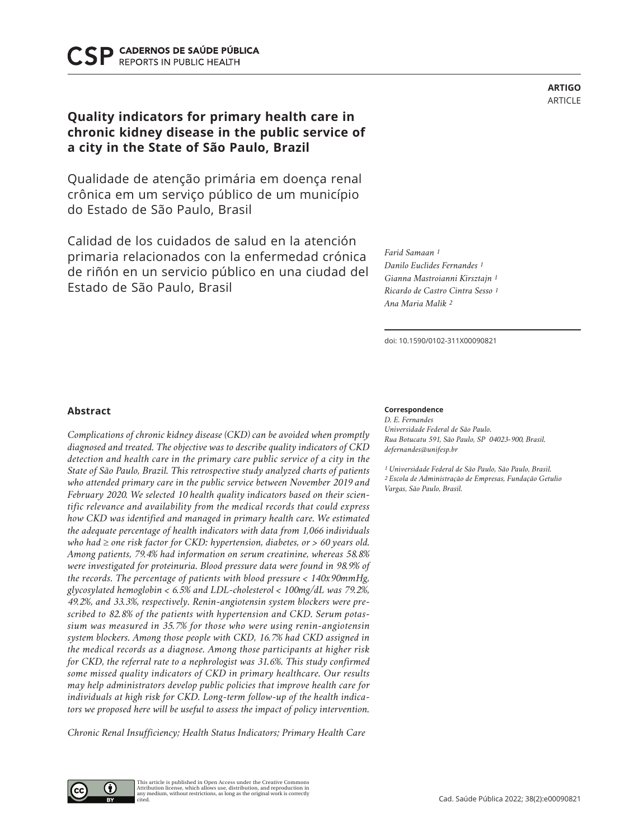CADERNOS DE SAÚDE PÚBLICA **REPORTS IN PUBLIC HEALTH** 

# **Quality indicators for primary health care in chronic kidney disease in the public service of a city in the State of São Paulo, Brazil**

Qualidade de atenção primária em doença renal crônica em um serviço público de um município do Estado de São Paulo, Brasil

Calidad de los cuidados de salud en la atención primaria relacionados con la enfermedad crónica de riñón en un servicio público en una ciudad del Estado de São Paulo, Brasil

*Farid Samaan 1 Danilo Euclides Fernandes 1 Gianna Mastroianni Kirsztajn 1 Ricardo de Castro Cintra Sesso 1 Ana Maria Malik 2*

doi: 10.1590/0102-311X00090821

# **Abstract**

*Complications of chronic kidney disease (CKD) can be avoided when promptly diagnosed and treated. The objective was to describe quality indicators of CKD detection and health care in the primary care public service of a city in the State of São Paulo, Brazil. This retrospective study analyzed charts of patients who attended primary care in the public service between November 2019 and February 2020. We selected 10 health quality indicators based on their scientific relevance and availability from the medical records that could express how CKD was identified and managed in primary health care. We estimated the adequate percentage of health indicators with data from 1,066 individuals who had* ≥ *one risk factor for CKD: hypertension, diabetes, or > 60 years old. Among patients, 79.4% had information on serum creatinine, whereas 58.8% were investigated for proteinuria. Blood pressure data were found in 98.9% of the records. The percentage of patients with blood pressure < 140x90mmHg, glycosylated hemoglobin < 6.5% and LDL-cholesterol < 100mg/dL was 79.2%, 49.2%, and 33.3%, respectively. Renin-angiotensin system blockers were prescribed to 82.8% of the patients with hypertension and CKD. Serum potassium was measured in 35.7% for those who were using renin-angiotensin system blockers. Among those people with CKD, 16.7% had CKD assigned in the medical records as a diagnose. Among those participants at higher risk for CKD, the referral rate to a nephrologist was 31.6%. This study confirmed some missed quality indicators of CKD in primary healthcare. Our results may help administrators develop public policies that improve health care for individuals at high risk for CKD. Long-term follow-up of the health indicators we proposed here will be useful to assess the impact of policy intervention.* 

*Chronic Renal Insufficiency; Health Status Indicators; Primary Health Care*

#### **Correspondence**

*D. E. Fernandes Universidade Federal de São Paulo. Rua Botucatu 591, São Paulo, SP 04023-900, Brasil. defernandes@unifesp.br*

*1 Universidade Federal de São Paulo, São Paulo, Brasil. 2 Escola de Administração de Empresas, Fundação Getulio Vargas, São Paulo, Brasil.*

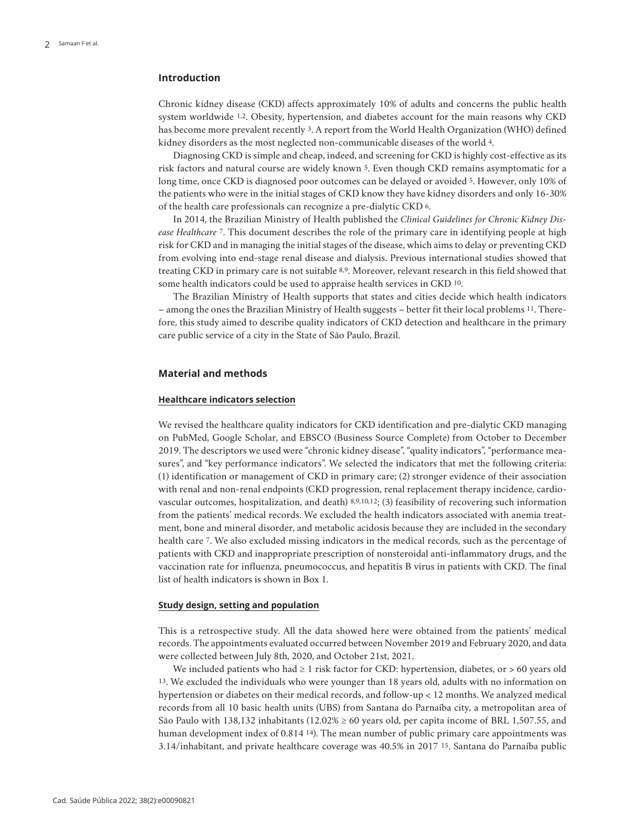# **Introduction**

Chronic kidney disease (CKD) affects approximately 10% of adults and concerns the public health system worldwide 1,2. Obesity, hypertension, and diabetes account for the main reasons why CKD has become more prevalent recently 3. A report from the World Health Organization (WHO) defined kidney disorders as the most neglected non-communicable diseases of the world 4.

Diagnosing CKD is simple and cheap, indeed, and screening for CKD is highly cost-effective as its risk factors and natural course are widely known 5. Even though CKD remains asymptomatic for a long time, once CKD is diagnosed poor outcomes can be delayed or avoided 5. However, only 10% of the patients who were in the initial stages of CKD know they have kidney disorders and only 16-30% of the health care professionals can recognize a pre-dialytic CKD 6.

In 2014, the Brazilian Ministry of Health published the *Clinical Guidelines for Chronic Kidney Disease Healthcare* 7. This document describes the role of the primary care in identifying people at high risk for CKD and in managing the initial stages of the disease, which aims to delay or preventing CKD from evolving into end-stage renal disease and dialysis. Previous international studies showed that treating CKD in primary care is not suitable 8,9. Moreover, relevant research in this field showed that some health indicators could be used to appraise health services in CKD 10.

The Brazilian Ministry of Health supports that states and cities decide which health indicators – among the ones the Brazilian Ministry of Health suggests – better fit their local problems 11. Therefore, this study aimed to describe quality indicators of CKD detection and healthcare in the primary care public service of a city in the State of São Paulo, Brazil.

# **Material and methods**

## **Healthcare indicators selection**

We revised the healthcare quality indicators for CKD identification and pre-dialytic CKD managing on PubMed, Google Scholar, and EBSCO (Business Source Complete) from October to December 2019. The descriptors we used were "chronic kidney disease", "quality indicators", "performance measures", and "key performance indicators". We selected the indicators that met the following criteria: (1) identification or management of CKD in primary care; (2) stronger evidence of their association with renal and non-renal endpoints (CKD progression, renal replacement therapy incidence, cardiovascular outcomes, hospitalization, and death) 8,9,10,12; (3) feasibility of recovering such information from the patients' medical records. We excluded the health indicators associated with anemia treatment, bone and mineral disorder, and metabolic acidosis because they are included in the secondary health care 7. We also excluded missing indicators in the medical records, such as the percentage of patients with CKD and inappropriate prescription of nonsteroidal anti-inflammatory drugs, and the vaccination rate for influenza, pneumococcus, and hepatitis B virus in patients with CKD. The final list of health indicators is shown in Box 1.

## **Study design, setting and population**

This is a retrospective study. All the data showed here were obtained from the patients' medical records. The appointments evaluated occurred between November 2019 and February 2020, and data were collected between July 8th, 2020, and October 21st, 2021.

We included patients who had  $\geq 1$  risk factor for CKD: hypertension, diabetes, or  $> 60$  years old 13. We excluded the individuals who were younger than 18 years old, adults with no information on hypertension or diabetes on their medical records, and follow-up < 12 months. We analyzed medical records from all 10 basic health units (UBS) from Santana do Parnaíba city, a metropolitan area of São Paulo with 138,132 inhabitants (12.02% ≥ 60 years old, per capita income of BRL 1,507.55, and human development index of 0.814 14). The mean number of public primary care appointments was 3.14/inhabitant, and private healthcare coverage was 40.5% in 2017 15. Santana do Parnaíba public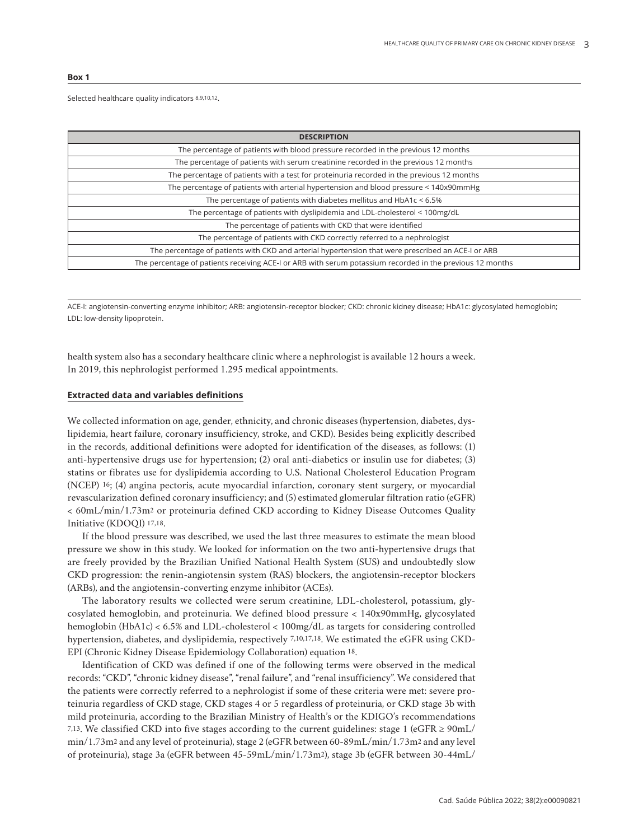#### **Box 1**

#### Selected healthcare quality indicators 8,9,10,12.

| <b>DESCRIPTION</b>                                                                                        |  |  |  |  |
|-----------------------------------------------------------------------------------------------------------|--|--|--|--|
| The percentage of patients with blood pressure recorded in the previous 12 months                         |  |  |  |  |
| The percentage of patients with serum creatinine recorded in the previous 12 months                       |  |  |  |  |
| The percentage of patients with a test for proteinuria recorded in the previous 12 months                 |  |  |  |  |
| The percentage of patients with arterial hypertension and blood pressure < 140x90mmHg                     |  |  |  |  |
| The percentage of patients with diabetes mellitus and $HbA1c < 6.5%$                                      |  |  |  |  |
| The percentage of patients with dyslipidemia and LDL-cholesterol < 100mg/dL                               |  |  |  |  |
| The percentage of patients with CKD that were identified                                                  |  |  |  |  |
| The percentage of patients with CKD correctly referred to a nephrologist                                  |  |  |  |  |
| The percentage of patients with CKD and arterial hypertension that were prescribed an ACE-I or ARB        |  |  |  |  |
| The percentage of patients receiving ACE-I or ARB with serum potassium recorded in the previous 12 months |  |  |  |  |

ACE-I: angiotensin-converting enzyme inhibitor; ARB: angiotensin-receptor blocker; CKD: chronic kidney disease; HbA1c: glycosylated hemoglobin; LDL: low-density lipoprotein.

health system also has a secondary healthcare clinic where a nephrologist is available 12 hours a week. In 2019, this nephrologist performed 1.295 medical appointments.

# **Extracted data and variables definitions**

We collected information on age, gender, ethnicity, and chronic diseases (hypertension, diabetes, dyslipidemia, heart failure, coronary insufficiency, stroke, and CKD). Besides being explicitly described in the records, additional definitions were adopted for identification of the diseases, as follows: (1) anti-hypertensive drugs use for hypertension; (2) oral anti-diabetics or insulin use for diabetes; (3) statins or fibrates use for dyslipidemia according to U.S. National Cholesterol Education Program (NCEP) 16; (4) angina pectoris, acute myocardial infarction, coronary stent surgery, or myocardial revascularization defined coronary insufficiency; and (5) estimated glomerular filtration ratio (eGFR) < 60mL/min/1.73m2 or proteinuria defined CKD according to Kidney Disease Outcomes Quality Initiative (KDOQI) 17,18.

If the blood pressure was described, we used the last three measures to estimate the mean blood pressure we show in this study. We looked for information on the two anti-hypertensive drugs that are freely provided by the Brazilian Unified National Health System (SUS) and undoubtedly slow CKD progression: the renin-angiotensin system (RAS) blockers, the angiotensin-receptor blockers (ARBs), and the angiotensin-converting enzyme inhibitor (ACEs).

The laboratory results we collected were serum creatinine, LDL-cholesterol, potassium, glycosylated hemoglobin, and proteinuria. We defined blood pressure < 140x90mmHg, glycosylated hemoglobin (HbA1c) < 6.5% and LDL-cholesterol < 100mg/dL as targets for considering controlled hypertension, diabetes, and dyslipidemia, respectively 7,10,17,18. We estimated the eGFR using CKD-EPI (Chronic Kidney Disease Epidemiology Collaboration) equation 18.

Identification of CKD was defined if one of the following terms were observed in the medical records: "CKD", "chronic kidney disease", "renal failure", and "renal insufficiency". We considered that the patients were correctly referred to a nephrologist if some of these criteria were met: severe proteinuria regardless of CKD stage, CKD stages 4 or 5 regardless of proteinuria, or CKD stage 3b with mild proteinuria, according to the Brazilian Ministry of Health's or the KDIGO's recommendations 7,13. We classified CKD into five stages according to the current guidelines: stage 1 (eGFR  $\geq$  90mL/ min/1.73m2 and any level of proteinuria), stage 2 (eGFR between 60-89mL/min/1.73m2 and any level of proteinuria), stage 3a (eGFR between 45-59mL/min/1.73m2), stage 3b (eGFR between 30-44mL/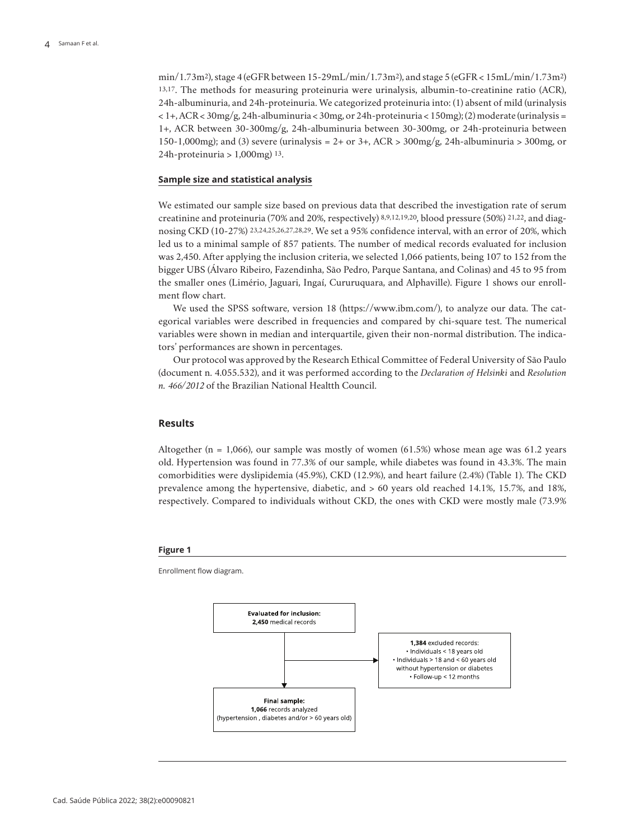min/1.73m2), stage 4 (eGFR between 15-29mL/min/1.73m2), and stage 5 (eGFR < 15mL/min/1.73m2) 13,17. The methods for measuring proteinuria were urinalysis, albumin-to-creatinine ratio (ACR), 24h-albuminuria, and 24h-proteinuria. We categorized proteinuria into: (1) absent of mild (urinalysis  $< 1+ACR < 30mg/g$ , 24h-albuminuria < 30mg, or 24h-proteinuria < 150mg); (2) moderate (urinalysis = 1+, ACR between 30-300mg/g, 24h-albuminuria between 30-300mg, or 24h-proteinuria between 150-1,000mg); and (3) severe (urinalysis = 2+ or 3+, ACR >  $300 \text{mg/g}$ , 24h-albuminuria >  $300 \text{mg}$ , or 24h-proteinuria >  $1,000$ mg)  $13$ .

### **Sample size and statistical analysis**

We estimated our sample size based on previous data that described the investigation rate of serum creatinine and proteinuria (70% and 20%, respectively) 8,9,12,19,20, blood pressure (50%) 21,22, and diagnosing CKD (10-27%) 23,24,25,26,27,28,29. We set a 95% confidence interval, with an error of 20%, which led us to a minimal sample of 857 patients. The number of medical records evaluated for inclusion was 2,450. After applying the inclusion criteria, we selected 1,066 patients, being 107 to 152 from the bigger UBS (Álvaro Ribeiro, Fazendinha, São Pedro, Parque Santana, and Colinas) and 45 to 95 from the smaller ones (Limério, Jaguari, Ingaí, Cururuquara, and Alphaville). Figure 1 shows our enrollment flow chart.

We used the SPSS software, version 18 (https://www.ibm.com/), to analyze our data. The categorical variables were described in frequencies and compared by chi-square test. The numerical variables were shown in median and interquartile, given their non-normal distribution. The indicators' performances are shown in percentages.

Our protocol was approved by the Research Ethical Committee of Federal University of São Paulo (document n. 4.055.532), and it was performed according to the *Declaration of Helsinki* and *Resolution n. 466/2012* of the Brazilian National Healtth Council.

# **Results**

Altogether (n = 1,066), our sample was mostly of women (61.5%) whose mean age was 61.2 years old. Hypertension was found in 77.3% of our sample, while diabetes was found in 43.3%. The main comorbidities were dyslipidemia (45.9%), CKD (12.9%), and heart failure (2.4%) (Table 1). The CKD prevalence among the hypertensive, diabetic, and > 60 years old reached 14.1%, 15.7%, and 18%, respectively. Compared to individuals without CKD, the ones with CKD were mostly male (73.9%

#### **Figure 1**

Enrollment flow diagram.

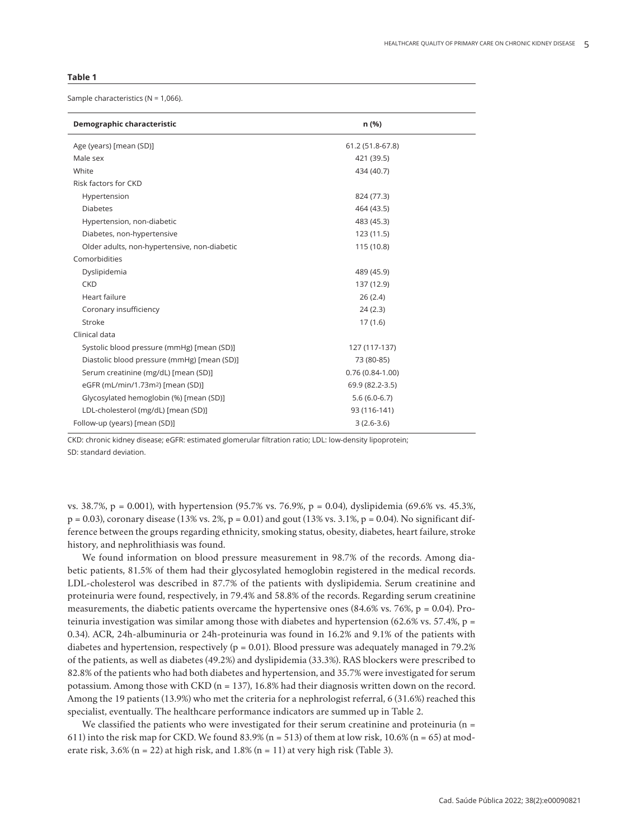#### **Table 1**

Sample characteristics (N = 1,066).

| Demographic characteristic                    | n (%)             |
|-----------------------------------------------|-------------------|
| Age (years) [mean (SD)]                       | 61.2 (51.8-67.8)  |
| Male sex                                      | 421 (39.5)        |
| White                                         | 434 (40.7)        |
| Risk factors for CKD                          |                   |
| Hypertension                                  | 824 (77.3)        |
| <b>Diabetes</b>                               | 464 (43.5)        |
| Hypertension, non-diabetic                    | 483 (45.3)        |
| Diabetes, non-hypertensive                    | 123 (11.5)        |
| Older adults, non-hypertensive, non-diabetic  | 115 (10.8)        |
| Comorbidities                                 |                   |
| Dyslipidemia                                  | 489 (45.9)        |
| <b>CKD</b>                                    | 137 (12.9)        |
| Heart failure                                 | 26(2.4)           |
| Coronary insufficiency                        | 24(2.3)           |
| Stroke                                        | 17(1.6)           |
| Clinical data                                 |                   |
| Systolic blood pressure (mmHg) [mean (SD)]    | 127 (117-137)     |
| Diastolic blood pressure (mmHg) [mean (SD)]   | 73 (80-85)        |
| Serum creatinine (mg/dL) [mean (SD)]          | $0.76(0.84-1.00)$ |
| eGFR (mL/min/1.73m <sup>2</sup> ) [mean (SD)] | 69.9 (82.2-3.5)   |
| Glycosylated hemoglobin (%) [mean (SD)]       | $5.6(6.0-6.7)$    |
| LDL-cholesterol (mg/dL) [mean (SD)]           | 93 (116-141)      |
| Follow-up (years) [mean (SD)]                 | $3(2.6-3.6)$      |

CKD: chronic kidney disease; eGFR: estimated glomerular filtration ratio; LDL: low-density lipoprotein; SD: standard deviation.

vs. 38.7%, p = 0.001), with hypertension (95.7% vs. 76.9%, p = 0.04), dyslipidemia (69.6% vs. 45.3%,  $p = 0.03$ ), coronary disease (13% vs. 2%,  $p = 0.01$ ) and gout (13% vs. 3.1%,  $p = 0.04$ ). No significant difference between the groups regarding ethnicity, smoking status, obesity, diabetes, heart failure, stroke history, and nephrolithiasis was found.

We found information on blood pressure measurement in 98.7% of the records. Among diabetic patients, 81.5% of them had their glycosylated hemoglobin registered in the medical records. LDL-cholesterol was described in 87.7% of the patients with dyslipidemia. Serum creatinine and proteinuria were found, respectively, in 79.4% and 58.8% of the records. Regarding serum creatinine measurements, the diabetic patients overcame the hypertensive ones  $(84.6\%$  vs. 76%, p = 0.04). Proteinuria investigation was similar among those with diabetes and hypertension (62.6% vs. 57.4%,  $p =$ 0.34). ACR, 24h-albuminuria or 24h-proteinuria was found in 16.2% and 9.1% of the patients with diabetes and hypertension, respectively ( $p = 0.01$ ). Blood pressure was adequately managed in 79.2% of the patients, as well as diabetes (49.2%) and dyslipidemia (33.3%). RAS blockers were prescribed to 82.8% of the patients who had both diabetes and hypertension, and 35.7% were investigated for serum potassium. Among those with CKD (n = 137), 16.8% had their diagnosis written down on the record. Among the 19 patients (13.9%) who met the criteria for a nephrologist referral, 6 (31.6%) reached this specialist, eventually. The healthcare performance indicators are summed up in Table 2.

We classified the patients who were investigated for their serum creatinine and proteinuria ( $n =$ 611) into the risk map for CKD. We found 83.9% (n = 513) of them at low risk,  $10.6\%$  (n = 65) at moderate risk,  $3.6\%$  (n = 22) at high risk, and  $1.8\%$  (n = 11) at very high risk (Table 3).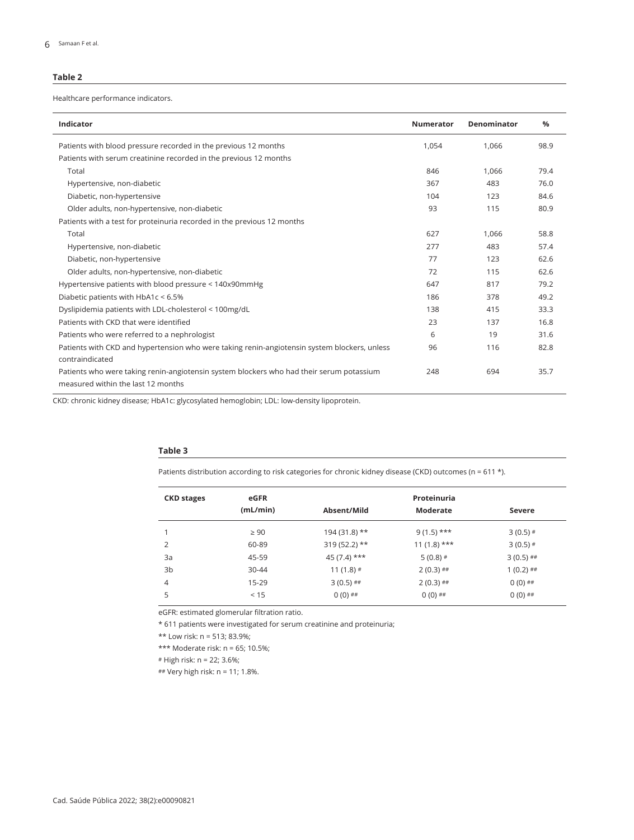# **Table 2**

Healthcare performance indicators.

| <b>Indicator</b>                                                                             | <b>Numerator</b> | Denominator | $\frac{0}{0}$ |  |
|----------------------------------------------------------------------------------------------|------------------|-------------|---------------|--|
| Patients with blood pressure recorded in the previous 12 months                              | 1,054            | 1,066       | 98.9          |  |
| Patients with serum creatinine recorded in the previous 12 months                            |                  |             |               |  |
| Total                                                                                        | 846              | 1.066       | 79.4          |  |
| Hypertensive, non-diabetic                                                                   | 367              | 483         | 76.0          |  |
| Diabetic, non-hypertensive                                                                   | 104              | 123         | 84.6          |  |
| Older adults, non-hypertensive, non-diabetic                                                 | 93               | 115         | 80.9          |  |
| Patients with a test for proteinuria recorded in the previous 12 months                      |                  |             |               |  |
| Total                                                                                        | 627              | 1,066       | 58.8          |  |
| Hypertensive, non-diabetic                                                                   | 277              | 483         | 57.4          |  |
| Diabetic, non-hypertensive                                                                   | 77               | 123         | 62.6          |  |
| Older adults, non-hypertensive, non-diabetic                                                 | 72               | 115         | 62.6          |  |
| Hypertensive patients with blood pressure < 140x90mmHg                                       | 647              | 817         | 79.2          |  |
| Diabetic patients with HbA1c < 6.5%                                                          | 186              | 378         | 49.2          |  |
| Dyslipidemia patients with LDL-cholesterol < 100mg/dL                                        | 138              | 415         | 33.3          |  |
| Patients with CKD that were identified                                                       | 23               | 137         | 16.8          |  |
| Patients who were referred to a nephrologist                                                 | 6                | 19          | 31.6          |  |
| Patients with CKD and hypertension who were taking renin-angiotensin system blockers, unless | 96               | 116         | 82.8          |  |
| contraindicated                                                                              |                  |             |               |  |
| Patients who were taking renin-angiotensin system blockers who had their serum potassium     | 248              | 694         | 35.7          |  |
| measured within the last 12 months                                                           |                  |             |               |  |

CKD: chronic kidney disease; HbA1c: glycosylated hemoglobin; LDL: low-density lipoprotein.

## **Table 3**

Patients distribution according to risk categories for chronic kidney disease (CKD) outcomes (n = 611 \*).

| <b>CKD stages</b> | eGFR      | Proteinuria    |                 |             |  |
|-------------------|-----------|----------------|-----------------|-------------|--|
|                   | (mL/min)  | Absent/Mild    | <b>Moderate</b> | Severe      |  |
|                   | $\geq 90$ | $194(31.8)$ ** | $9(1.5)$ ***    | $3(0.5)$ #  |  |
| 2                 | 60-89     | $319(52.2)$ ** | $11(1.8)$ ***   | $3(0.5)$ #  |  |
| 3a                | 45-59     | $45(7.4)$ ***  | $5(0.8)$ #      | $3(0.5)$ ## |  |
| 3b                | $30 - 44$ | $11(1.8)$ #    | $2(0.3)$ ##     | $1(0.2)$ ## |  |
| $\overline{4}$    | 15-29     | $3(0.5)$ ##    | $2(0.3)$ ##     | $0(0)$ ##   |  |
| 5                 | < 15      | $0(0)$ ##      | $0(0)$ ##       | $0(0)$ ##   |  |

eGFR: estimated glomerular filtration ratio.

\* 611 patients were investigated for serum creatinine and proteinuria;

\*\* Low risk: n = 513; 83.9%;

\*\*\* Moderate risk: n = 65; 10.5%;

# High risk: n = 22; 3.6%;

## Very high risk: n = 11; 1.8%.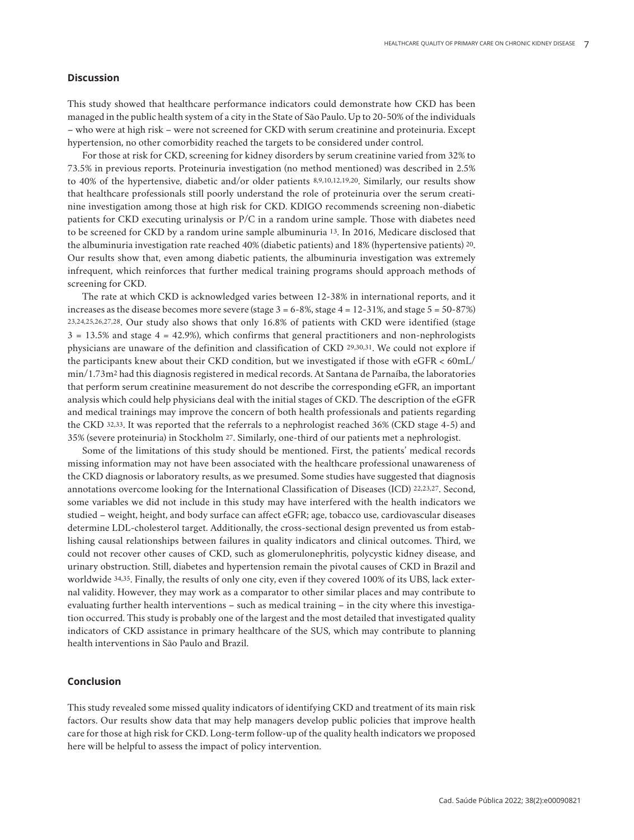# **Discussion**

This study showed that healthcare performance indicators could demonstrate how CKD has been managed in the public health system of a city in the State of São Paulo. Up to 20-50% of the individuals – who were at high risk – were not screened for CKD with serum creatinine and proteinuria. Except hypertension, no other comorbidity reached the targets to be considered under control.

For those at risk for CKD, screening for kidney disorders by serum creatinine varied from 32% to 73.5% in previous reports. Proteinuria investigation (no method mentioned) was described in 2.5% to 40% of the hypertensive, diabetic and/or older patients 8,9,10,12,19,20. Similarly, our results show that healthcare professionals still poorly understand the role of proteinuria over the serum creatinine investigation among those at high risk for CKD. KDIGO recommends screening non-diabetic patients for CKD executing urinalysis or P/C in a random urine sample. Those with diabetes need to be screened for CKD by a random urine sample albuminuria 13. In 2016, Medicare disclosed that the albuminuria investigation rate reached 40% (diabetic patients) and 18% (hypertensive patients) 20. Our results show that, even among diabetic patients, the albuminuria investigation was extremely infrequent, which reinforces that further medical training programs should approach methods of screening for CKD.

The rate at which CKD is acknowledged varies between 12-38% in international reports, and it increases as the disease becomes more severe (stage  $3 = 6-8\%$ , stage  $4 = 12-31\%$ , and stage  $5 = 50-87\%$ ) 23,24,25,26,27,28. Our study also shows that only 16.8% of patients with CKD were identified (stage  $3 = 13.5\%$  and stage  $4 = 42.9\%$ ), which confirms that general practitioners and non-nephrologists physicians are unaware of the definition and classification of CKD 29,30,31. We could not explore if the participants knew about their CKD condition, but we investigated if those with eGFR < 60mL/ min/1.73m2 had this diagnosis registered in medical records. At Santana de Parnaíba, the laboratories that perform serum creatinine measurement do not describe the corresponding eGFR, an important analysis which could help physicians deal with the initial stages of CKD. The description of the eGFR and medical trainings may improve the concern of both health professionals and patients regarding the CKD 32,33. It was reported that the referrals to a nephrologist reached 36% (CKD stage 4-5) and 35% (severe proteinuria) in Stockholm 27. Similarly, one-third of our patients met a nephrologist.

Some of the limitations of this study should be mentioned. First, the patients' medical records missing information may not have been associated with the healthcare professional unawareness of the CKD diagnosis or laboratory results, as we presumed. Some studies have suggested that diagnosis annotations overcome looking for the International Classification of Diseases (ICD) 22,23,27. Second, some variables we did not include in this study may have interfered with the health indicators we studied – weight, height, and body surface can affect eGFR; age, tobacco use, cardiovascular diseases determine LDL-cholesterol target. Additionally, the cross-sectional design prevented us from establishing causal relationships between failures in quality indicators and clinical outcomes. Third, we could not recover other causes of CKD, such as glomerulonephritis, polycystic kidney disease, and urinary obstruction. Still, diabetes and hypertension remain the pivotal causes of CKD in Brazil and worldwide 34,35. Finally, the results of only one city, even if they covered 100% of its UBS, lack external validity. However, they may work as a comparator to other similar places and may contribute to evaluating further health interventions – such as medical training – in the city where this investigation occurred. This study is probably one of the largest and the most detailed that investigated quality indicators of CKD assistance in primary healthcare of the SUS, which may contribute to planning health interventions in São Paulo and Brazil.

# **Conclusion**

This study revealed some missed quality indicators of identifying CKD and treatment of its main risk factors. Our results show data that may help managers develop public policies that improve health care for those at high risk for CKD. Long-term follow-up of the quality health indicators we proposed here will be helpful to assess the impact of policy intervention.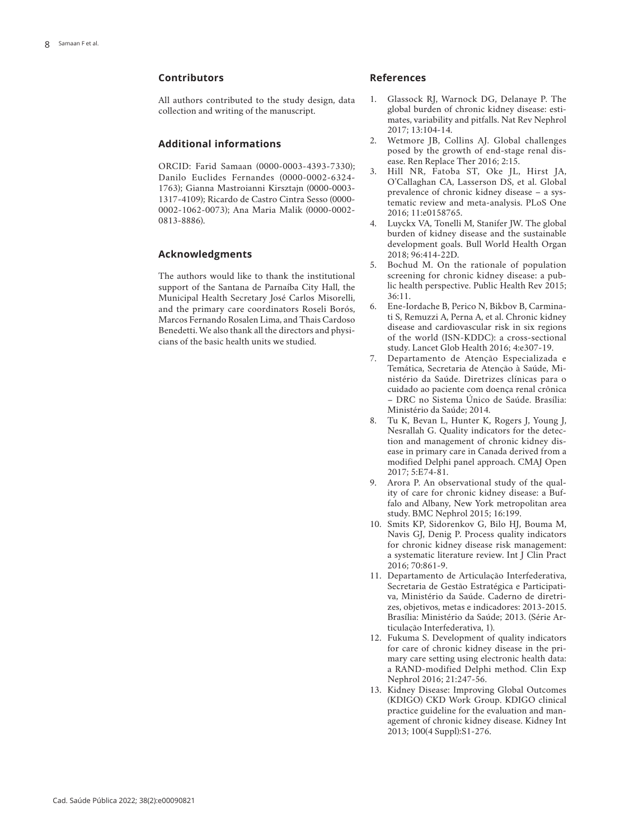# **Contributors**

All authors contributed to the study design, data collection and writing of the manuscript.

# **Additional informations**

ORCID: Farid Samaan (0000-0003-4393-7330); Danilo Euclides Fernandes (0000-0002-6324- 1763); Gianna Mastroianni Kirsztajn (0000-0003- 1317-4109); Ricardo de Castro Cintra Sesso (0000- 0002-1062-0073); Ana Maria Malik (0000-0002- 0813-8886).

# **Acknowledgments**

The authors would like to thank the institutional support of the Santana de Parnaíba City Hall, the Municipal Health Secretary José Carlos Misorelli, and the primary care coordinators Roseli Borós, Marcos Fernando Rosalen Lima, and Thais Cardoso Benedetti. We also thank all the directors and physi cians of the basic health units we studied.

#### **References**

- 1. Glassock RJ, Warnock DG, Delanaye P. The global burden of chronic kidney disease: esti mates, variability and pitfalls. Nat Rev Nephrol 2017; 13:104-14.
- 2. Wetmore JB, Collins AJ. Global challenges posed by the growth of end-stage renal dis ease. Ren Replace Ther 2016; 2:15.
- 3. Hill NR, Fatoba ST, Oke JL, Hirst JA, O'Callaghan CA, Lasserson DS, et al. Global prevalence of chronic kidney disease – a sys tematic review and meta-analysis. PLoS One 2016; 11:e0158765.
- 4. Luyckx VA, Tonelli M, Stanifer JW. The global burden of kidney disease and the sustainable development goals. Bull World Health Organ 2018; 96:414-22D.
- 5. Bochud M. On the rationale of population screening for chronic kidney disease: a pub lic health perspective. Public Health Rev 2015; 36:11.
- 6. Ene-Iordache B, Perico N, Bikbov B, Carmina ti S, Remuzzi A, Perna A, et al. Chronic kidney disease and cardiovascular risk in six regions of the world (ISN-KDDC): a cross-sectional study. Lancet Glob Health 2016; 4:e307-19.
- 7. Departamento de Atenção Especializada e Temática, Secretaria de Atenção à Saúde, Mi nistério da Saúde. Diretrizes clínicas para o cuidado ao paciente com doença renal crônica – DRC no Sistema Único de Saúde. Brasília: Ministério da Saúde; 2014.
- 8. Tu K, Bevan L, Hunter K, Rogers J, Young J, Nesrallah G. Quality indicators for the detec tion and management of chronic kidney dis ease in primary care in Canada derived from a modified Delphi panel approach. CMAJ Open 2017; 5:E74-81.
- 9. Arora P. An observational study of the qual ity of care for chronic kidney disease: a Buf falo and Albany, New York metropolitan area study. BMC Nephrol 2015; 16:199.
- 10. Smits KP, Sidorenkov G, Bilo HJ, Bouma M, Navis GJ, Denig P. Process quality indicators for chronic kidney disease risk management: a systematic literature review. Int J Clin Pract 2016; 70:861-9.
- 11. Departamento de Articulação Interfederativa, Secretaria de Gestão Estratégica e Participati va, Ministério da Saúde. Caderno de diretri zes, objetivos, metas e indicadores: 2013-2015. Brasília: Ministério da Saúde; 2013. (Série Ar ticulação Interfederativa, 1).
- 12. Fukuma S. Development of quality indicators for care of chronic kidney disease in the pri mary care setting using electronic health data: a RAND-modified Delphi method. Clin Exp Nephrol 2016; 21:247-56.
- 13. Kidney Disease: Improving Global Outcomes (KDIGO) CKD Work Group. KDIGO clinical practice guideline for the evaluation and man agement of chronic kidney disease. Kidney Int 2013; 100(4 Suppl):S1-276.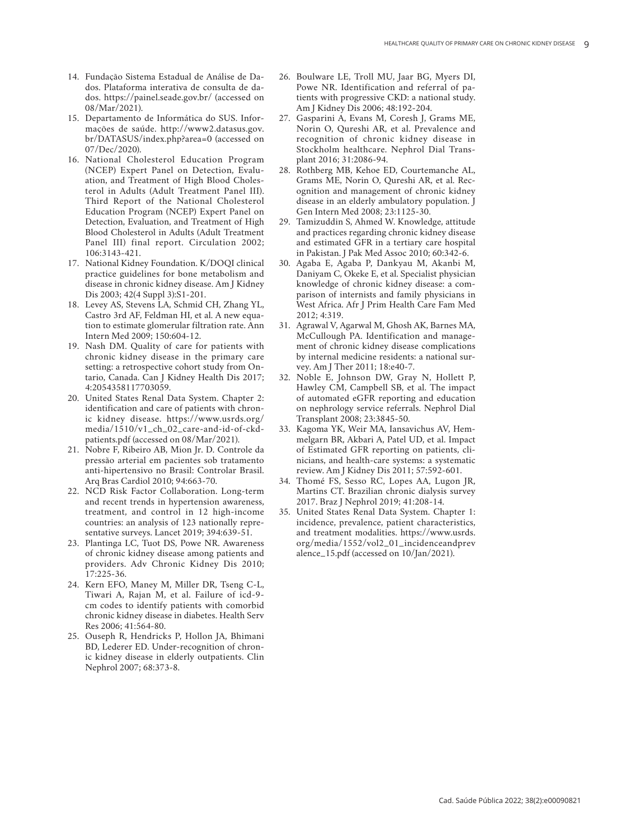- 14. Fundação Sistema Estadual de Análise de Da dos. Plataforma interativa de consulta de da dos. https://painel.seade.gov.br/ (accessed on 08/Mar/2021).
- 15. Departamento de Informática do SUS. Infor mações de saúde. http://www2.datasus.gov. br/DATASUS/index.php?area=0 (accessed on 07/Dec/2020).
- 16. National Cholesterol Education Program (NCEP) Expert Panel on Detection, Evalu ation, and Treatment of High Blood Choles terol in Adults (Adult Treatment Panel III). Third Report of the National Cholesterol Education Program (NCEP) Expert Panel on Detection, Evaluation, and Treatment of High Blood Cholesterol in Adults (Adult Treatment Panel III) final report. Circulation 2002; 106:3143-421.
- 17. National Kidney Foundation. K/DOQI clinical practice guidelines for bone metabolism and disease in chronic kidney disease. Am J Kidney Dis 2003; 42(4 Suppl 3):S1-201.
- 18. Levey AS, Stevens LA, Schmid CH, Zhang YL, Castro 3rd AF, Feldman HI, et al. A new equa tion to estimate glomerular filtration rate. Ann Intern Med 2009; 150:604-12.
- 19. Nash DM. Quality of care for patients with chronic kidney disease in the primary care setting: a retrospective cohort study from On tario, Canada. Can J Kidney Health Dis 2017; 4:2054358117703059.
- 20. United States Renal Data System. Chapter 2: identification and care of patients with chron ic kidney disease. https://www.usrds.org/ media/1510/v1\_ch\_02\_care-and-id-of-ckdpatients.pdf (accessed on 08/Mar/2021).
- 21. Nobre F, Ribeiro AB, Mion Jr. D. Controle da pressão arterial em pacientes sob tratamento anti-hipertensivo no Brasil: Controlar Brasil. Arq Bras Cardiol 2010; 94:663-70.
- 22. NCD Risk Factor Collaboration. Long-term and recent trends in hypertension awareness, treatment, and control in 12 high-income countries: an analysis of 123 nationally repre sentative surveys. Lancet 2019; 394:639-51.
- 23. Plantinga LC, Tuot DS, Powe NR. Awareness of chronic kidney disease among patients and providers. Adv Chronic Kidney Dis 2010; 17:225-36.
- 24. Kern EFO, Maney M, Miller DR, Tseng C-L, Tiwari A, Rajan M, et al. Failure of icd-9 cm codes to identify patients with comorbid chronic kidney disease in diabetes. Health Serv Res 2006; 41:564-80.
- 25. Ouseph R, Hendricks P, Hollon JA, Bhimani BD, Lederer ED. Under-recognition of chron ic kidney disease in elderly outpatients. Clin Nephrol 2007; 68:373-8.
- 26. Boulware LE, Troll MU, Jaar BG, Myers DI, Powe NR. Identification and referral of pa tients with progressive CKD: a national study. Am J Kidney Dis 2006; 48:192-204.
- 27. Gasparini A, Evans M, Coresh J, Grams ME, Norin O, Qureshi AR, et al. Prevalence and recognition of chronic kidney disease in Stockholm healthcare. Nephrol Dial Trans plant 2016; 31:2086-94.
- 28. Rothberg MB, Kehoe ED, Courtemanche AL, Grams ME, Norin O, Qureshi AR, et al. Rec ognition and management of chronic kidney disease in an elderly ambulatory population. J Gen Intern Med 2008; 23:1125-30.
- 29. Tamizuddin S, Ahmed W. Knowledge, attitude and practices regarding chronic kidney disease and estimated GFR in a tertiary care hospital in Pakistan. J Pak Med Assoc 2010; 60:342-6.
- 30. Agaba E, Agaba P, Dankyau M, Akanbi M, Daniyam C, Okeke E, et al. Specialist physician knowledge of chronic kidney disease: a com parison of internists and family physicians in West Africa. Afr J Prim Health Care Fam Med 2012; 4:319.
- 31. Agrawal V, Agarwal M, Ghosh AK, Barnes MA, McCullough PA. Identification and manage ment of chronic kidney disease complications by internal medicine residents: a national sur vey. Am J Ther 2011; 18:e40-7.
- 32. Noble E, Johnson DW, Gray N, Hollett P, Hawley CM, Campbell SB, et al. The impact of automated eGFR reporting and education on nephrology service referrals. Nephrol Dial Transplant 2008; 23:3845-50.
- 33. Kagoma YK, Weir MA, Iansavichus AV, Hem melgarn BR, Akbari A, Patel UD, et al. Impact of Estimated GFR reporting on patients, cli nicians, and health-care systems: a systematic review. Am J Kidney Dis 2011; 57:592-601.
- 34. Thomé FS, Sesso RC, Lopes AA, Lugon JR, Martins CT. Brazilian chronic dialysis survey 2017. Braz J Nephrol 2019; 41:208-14.
- 35. United States Renal Data System. Chapter 1: incidence, prevalence, patient characteristics, and treatment modalities. https://www.usrds. org/media/1552/vol2\_01\_incidenceandprev alence\_15.pdf (accessed on 10/Jan/2021).